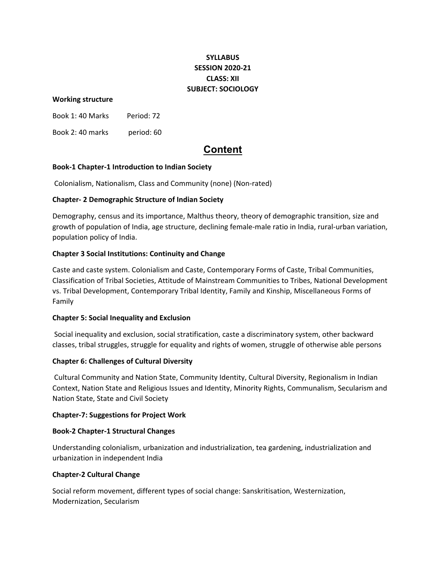# **SYLLABUS SESSION 2020‐21 CLASS: XII SUBJECT: SOCIOLOGY**

## **Working structure**

Book 1: 40 Marks Period: 72

Book 2: 40 marks period: 60

# **Content**

## **Book‐1 Chapter‐1 Introduction to Indian Society**

Colonialism, Nationalism, Class and Community (none) (Non‐rated)

## **Chapter‐ 2 Demographic Structure of Indian Society**

Demography, census and its importance, Malthus theory, theory of demographic transition, size and growth of population of India, age structure, declining female‐male ratio in India, rural‐urban variation, population policy of India.

## **Chapter 3 Social Institutions: Continuity and Change**

Caste and caste system. Colonialism and Caste, Contemporary Forms of Caste, Tribal Communities, Classification of Tribal Societies, Attitude of Mainstream Communities to Tribes, National Development vs. Tribal Development, Contemporary Tribal Identity, Family and Kinship, Miscellaneous Forms of Family

#### **Chapter 5: Social Inequality and Exclusion**

Social inequality and exclusion, social stratification, caste a discriminatory system, other backward classes, tribal struggles, struggle for equality and rights of women, struggle of otherwise able persons

## **Chapter 6: Challenges of Cultural Diversity**

Cultural Community and Nation State, Community Identity, Cultural Diversity, Regionalism in Indian Context, Nation State and Religious Issues and Identity, Minority Rights, Communalism, Secularism and Nation State, State and Civil Society

#### **Chapter‐7: Suggestions for Project Work**

#### **Book‐2 Chapter‐1 Structural Changes**

Understanding colonialism, urbanization and industrialization, tea gardening, industrialization and urbanization in independent India

#### **Chapter‐2 Cultural Change**

Social reform movement, different types of social change: Sanskritisation, Westernization, Modernization, Secularism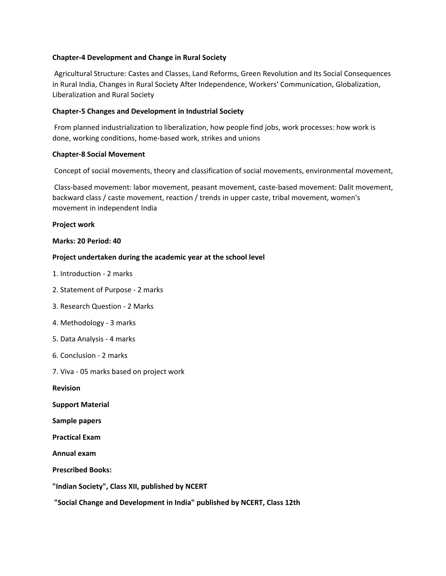## **Chapter‐4 Development and Change in Rural Society**

Agricultural Structure: Castes and Classes, Land Reforms, Green Revolution and Its Social Consequences in Rural India, Changes in Rural Society After Independence, Workers' Communication, Globalization, Liberalization and Rural Society

#### **Chapter‐5 Changes and Development in Industrial Society**

From planned industrialization to liberalization, how people find jobs, work processes: how work is done, working conditions, home‐based work, strikes and unions

## **Chapter‐8 Social Movement**

Concept of social movements, theory and classification of social movements, environmental movement,

Class‐based movement: labor movement, peasant movement, caste‐based movement: Dalit movement, backward class / caste movement, reaction / trends in upper caste, tribal movement, women's movement in independent India

## **Project work**

## **Marks: 20 Period: 40**

## **Project undertaken during the academic year at the school level**

- 1. Introduction ‐ 2 marks
- 2. Statement of Purpose ‐ 2 marks
- 3. Research Question ‐ 2 Marks
- 4. Methodology ‐ 3 marks
- 5. Data Analysis ‐ 4 marks
- 6. Conclusion ‐ 2 marks
- 7. Viva ‐ 05 marks based on project work

**Revision** 

- **Support Material**
- **Sample papers**
- **Practical Exam**

**Annual exam**

**Prescribed Books:**

- **"Indian Society", Class XII, published by NCERT**
- **"Social Change and Development in India" published by NCERT, Class 12th**